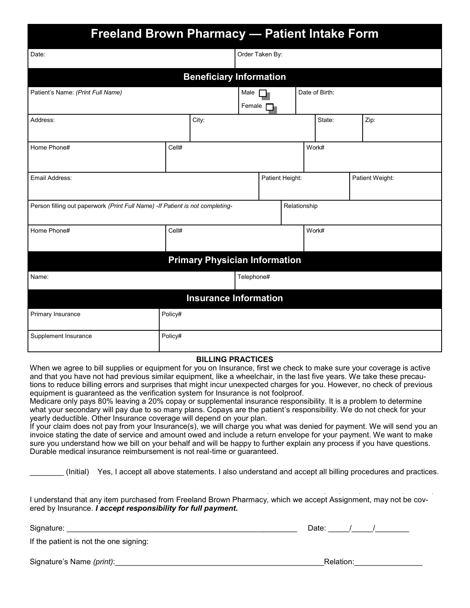|                                                                                | <b>Freeland Brown Pharmacy - Patient Intake Form</b> |                                      |                |                 |              |                |  |                 |  |
|--------------------------------------------------------------------------------|------------------------------------------------------|--------------------------------------|----------------|-----------------|--------------|----------------|--|-----------------|--|
| Date:                                                                          |                                                      |                                      |                | Order Taken By: |              |                |  |                 |  |
|                                                                                |                                                      | <b>Beneficiary Information</b>       |                |                 |              |                |  |                 |  |
| Patient's Name: (Print Full Name)                                              |                                                      |                                      | Male<br>Female |                 |              | Date of Birth: |  |                 |  |
| Address:                                                                       |                                                      | City:                                |                |                 |              | State:         |  | Zip:            |  |
| Home Phone#                                                                    | Cell#                                                |                                      |                |                 |              | Work#          |  |                 |  |
| Email Address:                                                                 |                                                      |                                      |                | Patient Height: |              |                |  | Patient Weight: |  |
| Person filling out paperwork (Print Full Name) - If Patient is not completing- |                                                      |                                      |                |                 | Relationship |                |  |                 |  |
| Home Phone#                                                                    | Cell#                                                |                                      |                |                 | Work#        |                |  |                 |  |
|                                                                                |                                                      | <b>Primary Physician Information</b> |                |                 |              |                |  |                 |  |
| Name:                                                                          |                                                      |                                      | Telephone#     |                 |              |                |  |                 |  |
|                                                                                |                                                      | <b>Insurance Information</b>         |                |                 |              |                |  |                 |  |
| Primary Insurance                                                              | Policy#                                              |                                      |                |                 |              |                |  |                 |  |
| Supplement Insurance                                                           | Policy#                                              |                                      |                |                 |              |                |  |                 |  |

#### **BILLING PRACTICES BILLING PRACTICES**

When we agree to bill supplies or equipment for you on Insurance, first we check to make sure your coverage is active and that you have not had previous similar equipment, like a wheelchair, in the last five years. We take these precautions to reduce billing errors and surprises that might incur unexpected charges for you. However, no check of previous unexpected charges for you. However, no check of previous equipment is guaranteed as Medicare's verification system and surprises that might incur unexpected charges for you. Medicare is billed and pays 80% and will send to your sup-equipment is guaranteed as the verification system for Insurance is not foolproof.

Medicare only pays 80% leaving a 20% copay or supplemental insurance responsibility. It is a problem to determine what your secondary will pay due to so many plans. Copays are the patient's responsibility. We do not check for your<br>yearly deductible. Other Insurance coverage will depend on your plan. yearly deductible. Other Insurance coverage will depend on your plan.

if your claim does not pay nonflyour filsurance(s), we will charge you what was defiled for payment. We will send you an<br>invoice stating the date of service and amount owed and include a return envelope for your payment. W firvoice stating the date of service and amount owed and include a return envelope for your payment. We want to make Sure you understand how we bill on your behalf and will be happy to further explain any process if you have questions. purable medicar insurance reimbursement is not real-time or guaranteed. if your claim does not pay from your Insurance(s), we will charge you what was denied for payment. We will send you an pure you understand now we can only our contain and will be happy to running Durable medical insurance reimbursement is not real-time or guaranteed.

\_\_\_\_\_\_\_\_ (Initial) Yes, I accept all above statements. I also understand and accept all billing procedures and practices. \_\_\_\_ Yes, I accept all above statements. I also understand and accept all billing procedures and \_\_\_\_\_\_\_\_ (Initial) Yes, I accept all above statements. I also understand and accept all billing procedures and practices.

I understand that any item purchased from Freeland Brown Pharmacy, which we accept Assignment, may not be covered by Insurance. *I accept responsibility for full payment.* 

 $S$ ignature:  $\begin{array}{ccc} \hline \end{array}$ 

If the patient is not the one signing: I understand that any item purchased from Freeland Brown Pharmacy, which we accept Assignment, may not be

Signature's Name *(print)*:\_\_\_\_\_\_\_\_\_\_\_\_\_\_\_\_\_\_\_\_\_\_\_\_\_\_\_\_\_\_\_\_\_\_\_\_\_\_\_\_\_\_\_\_\_\_\_\_\_Relation:\_\_\_\_\_\_\_\_\_\_\_\_\_\_\_\_ Signature: \_\_\_\_\_\_\_\_\_\_\_\_\_\_\_\_\_\_\_\_\_\_\_\_\_\_\_\_\_\_\_\_\_\_\_\_\_\_\_\_\_\_\_\_\_\_\_\_\_\_\_\_\_\_ Date: \_\_\_\_\_/\_\_\_\_\_/\_\_\_\_\_\_\_\_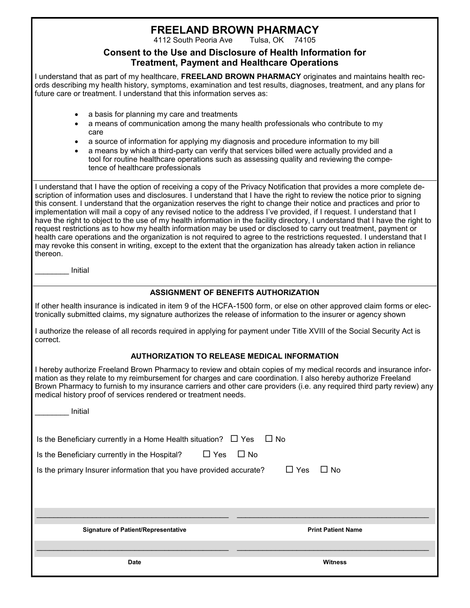# **FREELAND BROWN PHARMACY**

4112 South Peoria Ave

#### **Consent to the Use and Disclosure of Health Information for Treatment, Payment and Healthcare Operations**

I understand that as part of my healthcare, **FREELAND BROWN PHARMACY** originates and maintains health records describing my health history, symptoms, examination and test results, diagnoses, treatment, and any plans for future care or treatment. I understand that this information serves as:

- a basis for planning my care and treatments
- a means of communication among the many health professionals who contribute to my care
- a source of information for applying my diagnosis and procedure information to my bill
- a means by which a third-party can verify that services billed were actually provided and a tool for routine healthcare operations such as assessing quality and reviewing the competence of healthcare professionals

I understand that I have the option of receiving a copy of the Privacy Notification that provides a more complete description of information uses and disclosures. I understand that I have the right to review the notice prior to signing this consent. I understand that the organization reserves the right to change their notice and practices and prior to implementation will mail a copy of any revised notice to the address I've provided, if I request. I understand that I have the right to object to the use of my health information in the facility directory, I understand that I have the right to request restrictions as to how my health information may be used or disclosed to carry out treatment, payment or health care operations and the organization is not required to agree to the restrictions requested. I understand that I may revoke this consent in writing, except to the extent that the organization has already taken action in reliance thereon.

\_\_\_\_\_\_\_\_ Initial

#### **ASSIGNMENT OF BENEFITS AUTHORIZATION**

If other health insurance is indicated in item 9 of the HCFA-1500 form, or else on other approved claim forms or electronically submitted claims, my signature authorizes the release of information to the insurer or agency shown

I authorize the release of all records required in applying for payment under Title XVIII of the Social Security Act is correct.

#### **AUTHORIZATION TO RELEASE MEDICAL INFORMATION**

I hereby authorize Freeland Brown Pharmacy to review and obtain copies of my medical records and insurance information as they relate to my reimbursement for charges and care coordination. I also hereby authorize Freeland Brown Pharmacy to furnish to my insurance carriers and other care providers (i.e. any required third party review) any medical history proof of services rendered or treatment needs.

| Initial                                                                                                                                                                                                |                                                   |
|--------------------------------------------------------------------------------------------------------------------------------------------------------------------------------------------------------|---------------------------------------------------|
| Is the Beneficiary currently in a Home Health situation? $\Box$ Yes<br>Is the Beneficiary currently in the Hospital? $\Box$ Yes<br>Is the primary Insurer information that you have provided accurate? | $\Box$ No<br>$\Box$ No<br>$\Box$ Yes<br>$\Box$ No |
| <b>Signature of Patient/Representative</b>                                                                                                                                                             | <b>Print Patient Name</b>                         |
| <b>Date</b>                                                                                                                                                                                            | <b>Witness</b>                                    |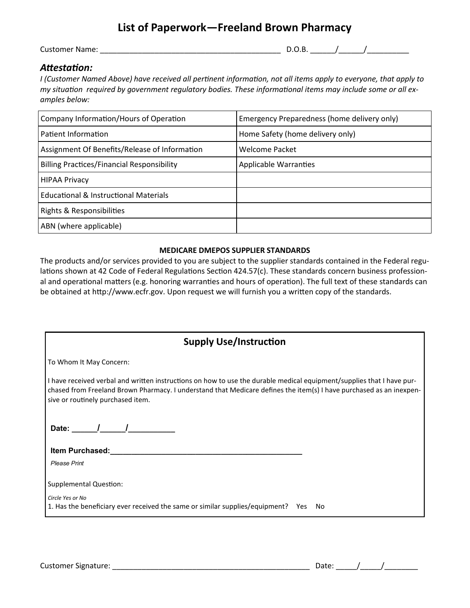## **List of Paperwork—Freeland Brown Pharmacy**

Customer Name: \_\_\_\_\_\_\_\_\_\_\_\_\_\_\_\_\_\_\_\_\_\_\_\_\_\_\_\_\_\_\_\_\_\_\_\_\_\_\_\_\_\_\_ D.O.B. \_\_\_\_\_\_/\_\_\_\_\_\_/\_\_\_\_\_\_\_\_\_\_

#### *Attestation:*

*I* (Customer Named Above) have received all pertinent information, not all items apply to everyone, that apply to *my situation required by government regulatory bodies. These informational items may include some or all examples below:*

| Company Information/Hours of Operation            | Emergency Preparedness (home delivery only) |  |  |
|---------------------------------------------------|---------------------------------------------|--|--|
| Patient Information                               | Home Safety (home delivery only)            |  |  |
| Assignment Of Benefits/Release of Information     | <b>Welcome Packet</b>                       |  |  |
| <b>Billing Practices/Financial Responsibility</b> | <b>Applicable Warranties</b>                |  |  |
| <b>HIPAA Privacy</b>                              |                                             |  |  |
| <b>Educational &amp; Instructional Materials</b>  |                                             |  |  |
| Rights & Responsibilities                         |                                             |  |  |
| ABN (where applicable)                            |                                             |  |  |

#### **MEDICARE DMEPOS SUPPLIER STANDARDS**

The products and/or services provided to you are subject to the supplier standards contained in the Federal regulations shown at 42 Code of Federal Regulations Section 424.57(c). These standards concern business professional and operational matters (e.g. honoring warranties and hours of operation). The full text of these standards can be obtained at http://www.ecfr.gov. Upon request we will furnish you a written copy of the standards.

| <b>Supply Use/Instruction</b>                                                                                                                                                                                                                                                     |  |  |
|-----------------------------------------------------------------------------------------------------------------------------------------------------------------------------------------------------------------------------------------------------------------------------------|--|--|
| To Whom It May Concern:                                                                                                                                                                                                                                                           |  |  |
| I have received verbal and written instructions on how to use the durable medical equipment/supplies that I have pur-<br>chased from Freeland Brown Pharmacy. I understand that Medicare defines the item(s) I have purchased as an inexpen-<br>sive or routinely purchased item. |  |  |
| Date: $\sqrt{1-\frac{1}{2}}$                                                                                                                                                                                                                                                      |  |  |
| Item Purchased:                                                                                                                                                                                                                                                                   |  |  |
| <b>Please Print</b>                                                                                                                                                                                                                                                               |  |  |
| Supplemental Question:                                                                                                                                                                                                                                                            |  |  |
| Circle Yes or No                                                                                                                                                                                                                                                                  |  |  |
| 1. Has the beneficiary ever received the same or similar supplies/equipment? Yes<br>- No                                                                                                                                                                                          |  |  |
|                                                                                                                                                                                                                                                                                   |  |  |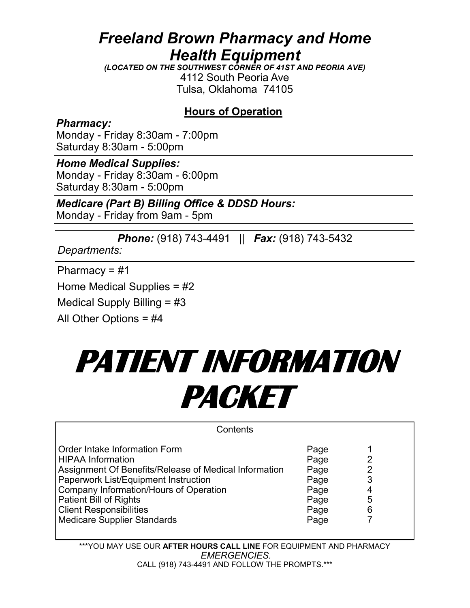## *Freeland Brown Pharmacy and Home Health Equipment*

*(LOCATED ON THE SOUTHWEST CORNER OF 41ST AND PEORIA AVE)* 4112 South Peoria Ave Tulsa, Oklahoma 74105

## **Hours of Operation**

*Pharmacy:* Monday - Friday 8:30am - 7:00pm Saturday 8:30am - 5:00pm

## *Home Medical Supplies:*

Monday - Friday 8:30am - 6:00pm Saturday 8:30am - 5:00pm

## *Medicare (Part B) Billing Office & DDSD Hours:*

Monday - Friday from 9am - 5pm

*Phone:* (918) 743-4491 || *Fax:* (918) 743-5432

*Departments:*

Pharmacy = #1

Home Medical Supplies = #2

Medical Supply Billing = #3

All Other Options = #4

# **PATIENT INFORMATION PACKET**

| Contents                                                                                                                                                                                                                                                                |                                                      |                            |  |
|-------------------------------------------------------------------------------------------------------------------------------------------------------------------------------------------------------------------------------------------------------------------------|------------------------------------------------------|----------------------------|--|
| Order Intake Information Form<br><b>HIPAA Information</b><br>Assignment Of Benefits/Release of Medical Information<br>Paperwork List/Equipment Instruction<br>Company Information/Hours of Operation<br><b>Patient Bill of Rights</b><br><b>Client Responsibilities</b> | Page<br>Page<br>Page<br>Page<br>Page<br>Page<br>Page | 2<br>2<br>3<br>4<br>5<br>6 |  |
| <b>Medicare Supplier Standards</b>                                                                                                                                                                                                                                      | Page                                                 |                            |  |

\*\*\*YOU MAY USE OUR **AFTER HOURS CALL LINE** FOR EQUIPMENT AND PHARMACY **may request on the from our state of go to ware stage of the stage of Supplier Standards' and Standards' and Standards' and Standards' and Standards' and Standards' and Standards' and Standards' and Standards' and Standar** CALL (918) 743-4491 AND FOLLOW THE PROMPTS.\*\*\*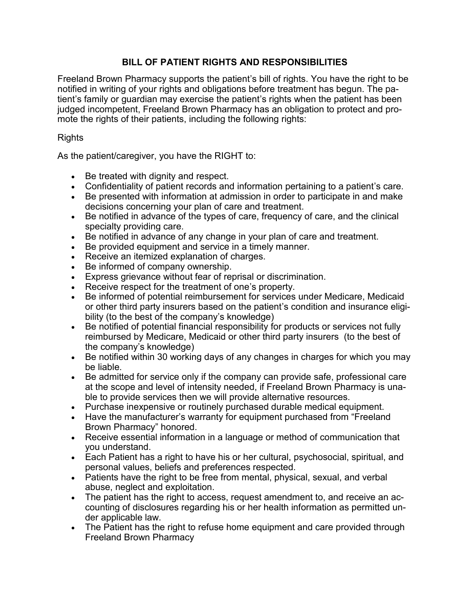### **BILL OF PATIENT RIGHTS AND RESPONSIBILITIES**

Freeland Brown Pharmacy supports the patient's bill of rights. You have the right to be notified in writing of your rights and obligations before treatment has begun. The patient's family or guardian may exercise the patient's rights when the patient has been judged incompetent, Freeland Brown Pharmacy has an obligation to protect and promote the rights of their patients, including the following rights:

#### Rights

As the patient/caregiver, you have the RIGHT to:

- Be treated with dignity and respect.
- Confidentiality of patient records and information pertaining to a patient's care.
- Be presented with information at admission in order to participate in and make decisions concerning your plan of care and treatment.
- Be notified in advance of the types of care, frequency of care, and the clinical specialty providing care.
- Be notified in advance of any change in your plan of care and treatment.
- Be provided equipment and service in a timely manner.
- Receive an itemized explanation of charges.
- Be informed of company ownership.
- Express grievance without fear of reprisal or discrimination.
- Receive respect for the treatment of one's property.
- Be informed of potential reimbursement for services under Medicare, Medicaid or other third party insurers based on the patient's condition and insurance eligibility (to the best of the company's knowledge)
- Be notified of potential financial responsibility for products or services not fully reimbursed by Medicare, Medicaid or other third party insurers (to the best of the company's knowledge)
- Be notified within 30 working days of any changes in charges for which you may be liable.
- Be admitted for service only if the company can provide safe, professional care at the scope and level of intensity needed, if Freeland Brown Pharmacy is unable to provide services then we will provide alternative resources.
- Purchase inexpensive or routinely purchased durable medical equipment.
- Have the manufacturer's warranty for equipment purchased from "Freeland Brown Pharmacy" honored.
- Receive essential information in a language or method of communication that you understand.
- Each Patient has a right to have his or her cultural, psychosocial, spiritual, and personal values, beliefs and preferences respected.
- Patients have the right to be free from mental, physical, sexual, and verbal abuse, neglect and exploitation.
- The patient has the right to access, request amendment to, and receive an accounting of disclosures regarding his or her health information as permitted under applicable law.
- The Patient has the right to refuse home equipment and care provided through Freeland Brown Pharmacy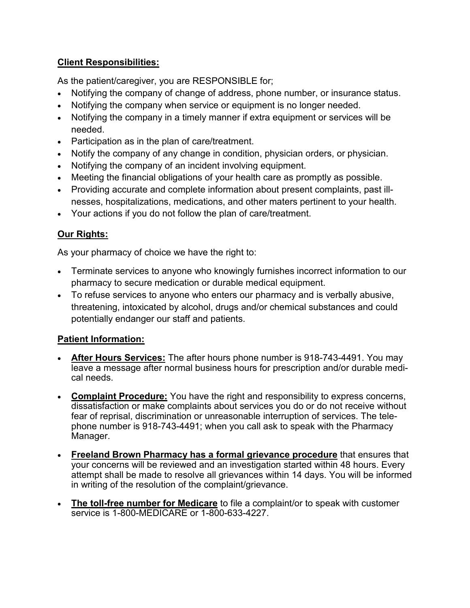## **Client Responsibilities:**

As the patient/caregiver, you are RESPONSIBLE for;

- Notifying the company of change of address, phone number, or insurance status.
- Notifying the company when service or equipment is no longer needed.
- Notifying the company in a timely manner if extra equipment or services will be needed.
- Participation as in the plan of care/treatment.
- Notify the company of any change in condition, physician orders, or physician.
- Notifying the company of an incident involving equipment.
- Meeting the financial obligations of your health care as promptly as possible.
- Providing accurate and complete information about present complaints, past illnesses, hospitalizations, medications, and other maters pertinent to your health.
- Your actions if you do not follow the plan of care/treatment.

## **Our Rights:**

As your pharmacy of choice we have the right to:

- Terminate services to anyone who knowingly furnishes incorrect information to our pharmacy to secure medication or durable medical equipment.
- To refuse services to anyone who enters our pharmacy and is verbally abusive, threatening, intoxicated by alcohol, drugs and/or chemical substances and could potentially endanger our staff and patients.

## **Patient Information:**

- **After Hours Services:** The after hours phone number is 918-743-4491. You may leave a message after normal business hours for prescription and/or durable medical needs.
- **Complaint Procedure:** You have the right and responsibility to express concerns, dissatisfaction or make complaints about services you do or do not receive without fear of reprisal, discrimination or unreasonable interruption of services. The telephone number is 918-743-4491; when you call ask to speak with the Pharmacy Manager.
- **Freeland Brown Pharmacy has a formal grievance procedure** that ensures that your concerns will be reviewed and an investigation started within 48 hours. Every attempt shall be made to resolve all grievances within 14 days. You will be informed in writing of the resolution of the complaint/grievance.
- **The toll-free number for Medicare** to file a complaint/or to speak with customer service is 1-800-MEDICARE or 1-800-633-4227.